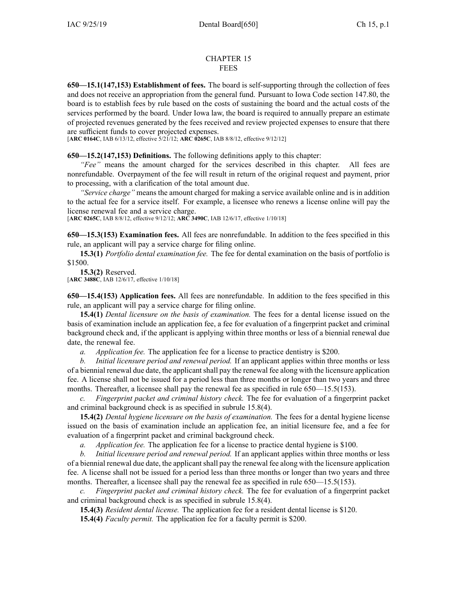## CHAPTER 15 FEES

**650—15.1(147,153) Establishment of fees.** The board is self-supporting through the collection of fees and does not receive an appropriation from the general fund. Pursuant to Iowa Code section [147.80](https://www.legis.iowa.gov/docs/ico/section/147.80.pdf), the board is to establish fees by rule based on the costs of sustaining the board and the actual costs of the services performed by the board. Under Iowa law, the board is required to annually prepare an estimate of projected revenues generated by the fees received and review projected expenses to ensure that there are sufficient funds to cover projected expenses.

[**ARC [0164C](https://www.legis.iowa.gov/docs/aco/arc/0164C.pdf)**, IAB 6/13/12, effective 5/21/12; **ARC [0265C](https://www.legis.iowa.gov/docs/aco/arc/0265C.pdf)**, IAB 8/8/12, effective 9/12/12]

**650—15.2(147,153) Definitions.** The following definitions apply to this chapter:

*"Fee"* means the amount charged for the services described in this chapter. All fees are nonrefundable. Overpayment of the fee will result in return of the original reques<sup>t</sup> and payment, prior to processing, with <sup>a</sup> clarification of the total amount due.

*"Service charge"* means the amount charged for making <sup>a</sup> service available online and is in addition to the actual fee for <sup>a</sup> service itself. For example, <sup>a</sup> licensee who renews <sup>a</sup> license online will pay the license renewal fee and <sup>a</sup> service charge.

[**ARC [0265C](https://www.legis.iowa.gov/docs/aco/arc/0265C.pdf)**, IAB 8/8/12, effective 9/12/12; **ARC [3490C](https://www.legis.iowa.gov/docs/aco/arc/3490C.pdf)**, IAB 12/6/17, effective 1/10/18]

**650—15.3(153) Examination fees.** All fees are nonrefundable. In addition to the fees specified in this rule, an applicant will pay <sup>a</sup> service charge for filing online.

**15.3(1)** *Portfolio dental examination fee.* The fee for dental examination on the basis of portfolio is \$1500.

**15.3(2)** Reserved. [**ARC [3488C](https://www.legis.iowa.gov/docs/aco/arc/3488C.pdf)**, IAB 12/6/17, effective 1/10/18]

**650—15.4(153) Application fees.** All fees are nonrefundable. In addition to the fees specified in this rule, an applicant will pay <sup>a</sup> service charge for filing online.

**15.4(1)** *Dental licensure on the basis of examination.* The fees for <sup>a</sup> dental license issued on the basis of examination include an application fee, <sup>a</sup> fee for evaluation of <sup>a</sup> fingerprint packet and criminal background check and, if the applicant is applying within three months or less of <sup>a</sup> biennial renewal due date, the renewal fee.

*a. Application fee.* The application fee for <sup>a</sup> license to practice dentistry is \$200.

*b. Initial licensure period and renewal period.* If an applicant applies within three months or less of <sup>a</sup> biennial renewal due date, the applicantshall pay the renewal fee along with the licensure application fee. A license shall not be issued for <sup>a</sup> period less than three months or longer than two years and three months. Thereafter, a licensee shall pay the renewal fee as specified in rule 650—15.5(153).

*c. Fingerprint packet and criminal history check.* The fee for evaluation of <sup>a</sup> fingerprint packet and criminal background check is as specified in subrule 15.8(4).

**15.4(2)** *Dental hygiene licensure on the basis of examination.* The fees for <sup>a</sup> dental hygiene license issued on the basis of examination include an application fee, an initial licensure fee, and <sup>a</sup> fee for evaluation of <sup>a</sup> fingerprint packet and criminal background check.

*a. Application fee.* The application fee for <sup>a</sup> license to practice dental hygiene is \$100.

*b. Initial licensure period and renewal period.* If an applicant applies within three months or less of a biennial renewal due date, the applicant shall pay the renewal fee along with the licensure application fee. A license shall not be issued for <sup>a</sup> period less than three months or longer than two years and three months. Thereafter, a licensee shall pay the renewal fee as specified in rule 650—15.5(153).

*c. Fingerprint packet and criminal history check.* The fee for evaluation of <sup>a</sup> fingerprint packet and criminal background check is as specified in subrule 15.8(4).

**15.4(3)** *Resident dental license.* The application fee for <sup>a</sup> resident dental license is \$120.

**15.4(4)** *Faculty permit.* The application fee for <sup>a</sup> faculty permit is \$200.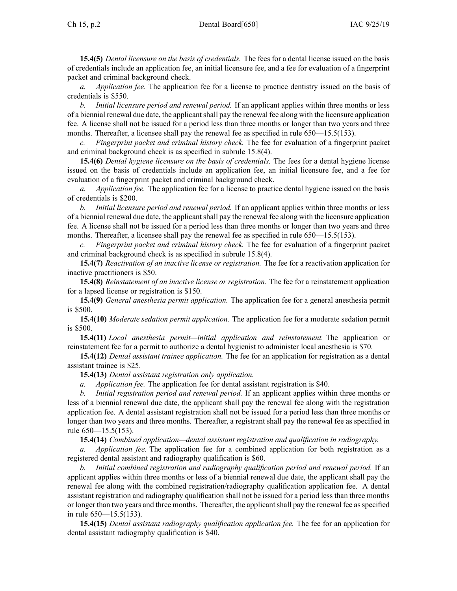**15.4(5)** *Dental licensure on the basis of credentials.* The fees for <sup>a</sup> dental license issued on the basis of credentials include an application fee, an initial licensure fee, and <sup>a</sup> fee for evaluation of <sup>a</sup> fingerprint packet and criminal background check.

*a. Application fee.* The application fee for <sup>a</sup> license to practice dentistry issued on the basis of credentials is \$550.

*b. Initial licensure period and renewal period.* If an applicant applies within three months or less of <sup>a</sup> biennial renewal due date, the applicantshall pay the renewal fee along with the licensure application fee. A license shall not be issued for <sup>a</sup> period less than three months or longer than two years and three months. Thereafter, a licensee shall pay the renewal fee as specified in rule 650—15.5(153).

*c. Fingerprint packet and criminal history check.* The fee for evaluation of <sup>a</sup> fingerprint packet and criminal background check is as specified in subrule 15.8(4).

**15.4(6)** *Dental hygiene licensure on the basis of credentials.* The fees for <sup>a</sup> dental hygiene license issued on the basis of credentials include an application fee, an initial licensure fee, and <sup>a</sup> fee for evaluation of <sup>a</sup> fingerprint packet and criminal background check.

*a. Application fee.* The application fee for <sup>a</sup> license to practice dental hygiene issued on the basis of credentials is \$200.

*b. Initial licensure period and renewal period.* If an applicant applies within three months or less of <sup>a</sup> biennial renewal due date, the applicantshall pay the renewal fee along with the licensure application fee. A license shall not be issued for <sup>a</sup> period less than three months or longer than two years and three months. Thereafter, a licensee shall pay the renewal fee as specified in rule 650—15.5(153).

*c. Fingerprint packet and criminal history check.* The fee for evaluation of <sup>a</sup> fingerprint packet and criminal background check is as specified in subrule 15.8(4).

**15.4(7)** *Reactivation of an inactive license or registration.* The fee for <sup>a</sup> reactivation application for inactive practitioners is \$50.

**15.4(8)** *Reinstatement of an inactive license or registration.* The fee for <sup>a</sup> reinstatement application for <sup>a</sup> lapsed license or registration is \$150.

**15.4(9)** *General anesthesia permit application.* The application fee for <sup>a</sup> general anesthesia permit is \$500.

**15.4(10)** *Moderate sedation permit application.* The application fee for <sup>a</sup> moderate sedation permit is \$500.

**15.4(11)** *Local anesthesia permit—initial application and reinstatement.* The application or reinstatement fee for <sup>a</sup> permit to authorize <sup>a</sup> dental hygienist to administer local anesthesia is \$70.

**15.4(12)** *Dental assistant trainee application.* The fee for an application for registration as <sup>a</sup> dental assistant trainee is \$25.

**15.4(13)** *Dental assistant registration only application.*

*a. Application fee.* The application fee for dental assistant registration is \$40.

*b. Initial registration period and renewal period.* If an applicant applies within three months or less of <sup>a</sup> biennial renewal due date, the applicant shall pay the renewal fee along with the registration application fee. A dental assistant registration shall not be issued for <sup>a</sup> period less than three months or longer than two years and three months. Thereafter, <sup>a</sup> registrant shall pay the renewal fee as specified in rule 650—15.5(153).

**15.4(14)** *Combined application—dental assistant registration and qualification in radiography.*

*a. Application fee.* The application fee for <sup>a</sup> combined application for both registration as <sup>a</sup> registered dental assistant and radiography qualification is \$60.

*b. Initial combined registration and radiography qualification period and renewal period.* If an applicant applies within three months or less of <sup>a</sup> biennial renewal due date, the applicant shall pay the renewal fee along with the combined registration/radiography qualification application fee. A dental assistant registration and radiography qualification shall not be issued for <sup>a</sup> period less than three months or longer than two years and three months. Thereafter, the applicant shall pay the renewal fee as specified in rule 650—15.5(153).

**15.4(15)** *Dental assistant radiography qualification application fee.* The fee for an application for dental assistant radiography qualification is \$40.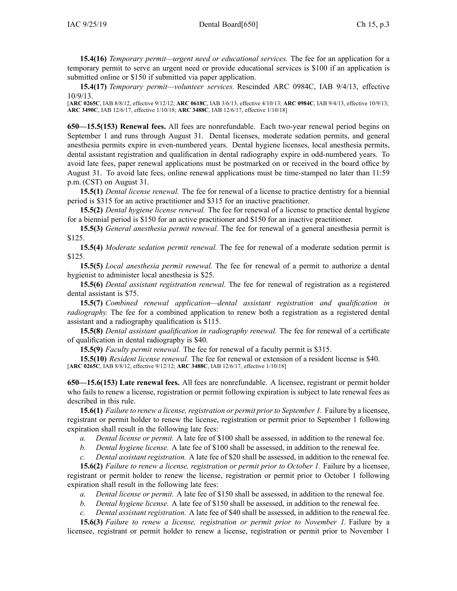**15.4(16)** *Temporary permit—urgent need or educational services.* The fee for an application for <sup>a</sup> temporary permit to serve an urgen<sup>t</sup> need or provide educational services is \$100 if an application is submitted online or \$150 if submitted via paper application.

**15.4(17)** *Temporary permit—volunteer services.* Rescinded ARC 0984C, IAB [9/4/13](https://www.legis.iowa.gov/docs/aco/bulletin/09-04-2013.pdf), effective 10/9/13.

[**ARC [0265C](https://www.legis.iowa.gov/docs/aco/arc/0265C.pdf)**, IAB 8/8/12, effective 9/12/12; **ARC [0618C](https://www.legis.iowa.gov/docs/aco/arc/0618C.pdf)**, IAB 3/6/13, effective 4/10/13; **ARC [0984C](https://www.legis.iowa.gov/docs/aco/arc/0984C.pdf)**, IAB 9/4/13, effective 10/9/13; **ARC [3490C](https://www.legis.iowa.gov/docs/aco/arc/3490C.pdf)**, IAB 12/6/17, effective 1/10/18; **ARC [3488C](https://www.legis.iowa.gov/docs/aco/arc/3488C.pdf)**, IAB 12/6/17, effective 1/10/18]

**650—15.5(153) Renewal fees.** All fees are nonrefundable. Each two-year renewal period begins on September 1 and runs through August 31. Dental licenses, moderate sedation permits, and general anesthesia permits expire in even-numbered years. Dental hygiene licenses, local anesthesia permits, dental assistant registration and qualification in dental radiography expire in odd-numbered years. To avoid late fees, paper renewal applications must be postmarked on or received in the board office by August 31. To avoid late fees, online renewal applications must be time-stamped no later than 11:59 p.m. (CST) on August 31.

**15.5(1)** *Dental license renewal.* The fee for renewal of <sup>a</sup> license to practice dentistry for <sup>a</sup> biennial period is \$315 for an active practitioner and \$315 for an inactive practitioner.

**15.5(2)** *Dental hygiene license renewal.* The fee for renewal of <sup>a</sup> license to practice dental hygiene for <sup>a</sup> biennial period is \$150 for an active practitioner and \$150 for an inactive practitioner.

**15.5(3)** *General anesthesia permit renewal.* The fee for renewal of <sup>a</sup> general anesthesia permit is \$125.

**15.5(4)** *Moderate sedation permit renewal.* The fee for renewal of <sup>a</sup> moderate sedation permit is \$125.

**15.5(5)** *Local anesthesia permit renewal.* The fee for renewal of <sup>a</sup> permit to authorize <sup>a</sup> dental hygienist to administer local anesthesia is \$25.

**15.5(6)** *Dental assistant registration renewal.* The fee for renewal of registration as <sup>a</sup> registered dental assistant is \$75.

**15.5(7)** *Combined renewal application—dental assistant registration and qualification in radiography*. The fee for a combined application to renew both a registration as a registered dental assistant and <sup>a</sup> radiography qualification is \$115.

**15.5(8)** *Dental assistant qualification in radiography renewal.* The fee for renewal of <sup>a</sup> certificate of qualification in dental radiography is \$40.

**15.5(9)** *Faculty permit renewal.* The fee for renewal of <sup>a</sup> faculty permit is \$315.

**15.5(10)** *Resident license renewal.* The fee for renewal or extension of <sup>a</sup> resident license is \$40. [**ARC [0265C](https://www.legis.iowa.gov/docs/aco/arc/0265C.pdf)**, IAB 8/8/12, effective 9/12/12; **ARC [3488C](https://www.legis.iowa.gov/docs/aco/arc/3488C.pdf)**, IAB 12/6/17, effective 1/10/18]

**650—15.6(153) Late renewal fees.** All fees are nonrefundable. A licensee, registrant or permit holder who fails to renew <sup>a</sup> license, registration or permit following expiration is subject to late renewal fees as described in this rule.

**15.6(1)** *Failure to renew <sup>a</sup> license, registration or permit priorto September 1.* Failure by <sup>a</sup> licensee, registrant or permit holder to renew the license, registration or permit prior to September 1 following expiration shall result in the following late fees:

- *a. Dental license or permit.* A late fee of \$100 shall be assessed, in addition to the renewal fee.
- *b. Dental hygiene license.* A late fee of \$100 shall be assessed, in addition to the renewal fee.
- *c. Dental assistant registration.* A late fee of \$20 shall be assessed, in addition to the renewal fee.

**15.6(2)** *Failure to renew <sup>a</sup> license, registration or permit prior to October 1.* Failure by <sup>a</sup> licensee, registrant or permit holder to renew the license, registration or permit prior to October 1 following expiration shall result in the following late fees:

- *a. Dental license or permit.* A late fee of \$150 shall be assessed, in addition to the renewal fee.
- *b. Dental hygiene license.* A late fee of \$150 shall be assessed, in addition to the renewal fee.
- *c. Dental assistant registration.* A late fee of \$40 shall be assessed, in addition to the renewal fee.

**15.6(3)** *Failure to renew <sup>a</sup> license, registration or permit prior to November 1.* Failure by <sup>a</sup> licensee, registrant or permit holder to renew <sup>a</sup> license, registration or permit prior to November 1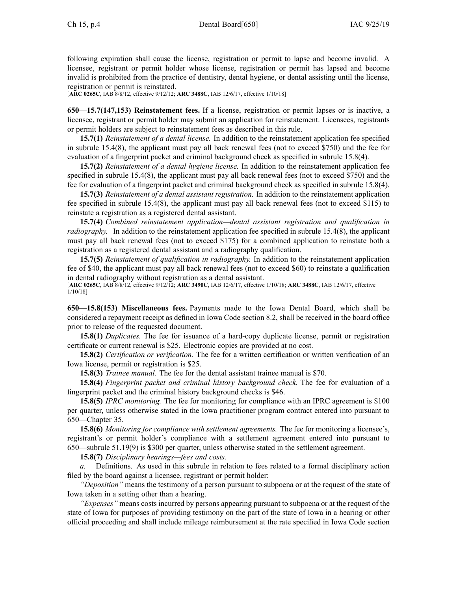following expiration shall cause the license, registration or permit to lapse and become invalid. A licensee, registrant or permit holder whose license, registration or permit has lapsed and become invalid is prohibited from the practice of dentistry, dental hygiene, or dental assisting until the license, registration or permit is reinstated.

[**ARC [0265C](https://www.legis.iowa.gov/docs/aco/arc/0265C.pdf)**, IAB 8/8/12, effective 9/12/12; **ARC [3488C](https://www.legis.iowa.gov/docs/aco/arc/3488C.pdf)**, IAB 12/6/17, effective 1/10/18]

**650—15.7(147,153) Reinstatement fees.** If <sup>a</sup> license, registration or permit lapses or is inactive, <sup>a</sup> licensee, registrant or permit holder may submit an application for reinstatement. Licensees, registrants or permit holders are subject to reinstatement fees as described in this rule.

**15.7(1)** *Reinstatement of <sup>a</sup> dental license.* In addition to the reinstatement application fee specified in subrule [15.4\(8\)](https://www.legis.iowa.gov/docs/iac/rule/650.15.4.pdf), the applicant must pay all back renewal fees (not to exceed \$750) and the fee for evaluation of <sup>a</sup> fingerprint packet and criminal background check as specified in subrule [15.8\(4\)](https://www.legis.iowa.gov/docs/iac/rule/650.15.8.pdf).

**15.7(2)** *Reinstatement of <sup>a</sup> dental hygiene license.* In addition to the reinstatement application fee specified in subrule [15.4\(8\)](https://www.legis.iowa.gov/docs/iac/rule/650.15.4.pdf), the applicant must pay all back renewal fees (not to exceed \$750) and the fee for evaluation of <sup>a</sup> fingerprint packet and criminal background check as specified in subrule [15.8\(4\)](https://www.legis.iowa.gov/docs/iac/rule/650.15.8.pdf).

**15.7(3)** *Reinstatement of <sup>a</sup> dental assistant registration.* In addition to the reinstatement application fee specified in subrule [15.4\(8\)](https://www.legis.iowa.gov/docs/iac/rule/650.15.4.pdf), the applicant must pay all back renewal fees (not to exceed \$115) to reinstate <sup>a</sup> registration as <sup>a</sup> registered dental assistant.

**15.7(4)** *Combined reinstatement application—dental assistant registration and qualification in radiography.* In addition to the reinstatement application fee specified in subrule [15.4\(8\)](https://www.legis.iowa.gov/docs/iac/rule/650.15.3.pdf), the applicant must pay all back renewal fees (not to exceed \$175) for <sup>a</sup> combined application to reinstate both <sup>a</sup> registration as <sup>a</sup> registered dental assistant and <sup>a</sup> radiography qualification.

**15.7(5)** *Reinstatement of qualification in radiography.* In addition to the reinstatement application fee of \$40, the applicant must pay all back renewal fees (not to exceed \$60) to reinstate <sup>a</sup> qualification in dental radiography without registration as <sup>a</sup> dental assistant.

[**ARC [0265C](https://www.legis.iowa.gov/docs/aco/arc/0265C.pdf)**, IAB 8/8/12, effective 9/12/12; **ARC [3490C](https://www.legis.iowa.gov/docs/aco/arc/3490C.pdf)**, IAB 12/6/17, effective 1/10/18; **ARC [3488C](https://www.legis.iowa.gov/docs/aco/arc/3488C.pdf)**, IAB 12/6/17, effective 1/10/18]

**650—15.8(153) Miscellaneous fees.** Payments made to the Iowa Dental Board, which shall be considered <sup>a</sup> repaymen<sup>t</sup> receipt as defined in Iowa Code section [8.2](https://www.legis.iowa.gov/docs/ico/section/8.2.pdf), shall be received in the board office prior to release of the requested document.

**15.8(1)** *Duplicates.* The fee for issuance of <sup>a</sup> hard-copy duplicate license, permit or registration certificate or current renewal is \$25. Electronic copies are provided at no cost.

**15.8(2)** *Certification or verification.* The fee for <sup>a</sup> written certification or written verification of an Iowa license, permit or registration is \$25.

**15.8(3)** *Trainee manual.* The fee for the dental assistant trainee manual is \$70.

**15.8(4)** *Fingerprint packet and criminal history background check.* The fee for evaluation of <sup>a</sup> fingerprint packet and the criminal history background checks is \$46.

**15.8(5)** *IPRC monitoring.* The fee for monitoring for compliance with an IPRC agreemen<sup>t</sup> is \$100 per quarter, unless otherwise stated in the Iowa practitioner program contract entered into pursuan<sup>t</sup> to [650—Chapter](https://www.legis.iowa.gov/docs/iac/chapter/650.35.pdf) 35.

**15.8(6)** *Monitoring for compliance with settlement agreements.* The fee for monitoring <sup>a</sup> licensee's, registrant's or permit holder's compliance with <sup>a</sup> settlement agreemen<sup>t</sup> entered into pursuan<sup>t</sup> to [650—subrule](https://www.legis.iowa.gov/docs/iac/rule/650.51.19.pdf) 51.19(9) is \$300 per quarter, unless otherwise stated in the settlement agreement.

**15.8(7)** *Disciplinary hearings—fees and costs.*

*a.* Definitions. As used in this subrule in relation to fees related to <sup>a</sup> formal disciplinary action filed by the board against <sup>a</sup> licensee, registrant or permit holder:

*"Deposition"* means the testimony of <sup>a</sup> person pursuan<sup>t</sup> to subpoena or at the reques<sup>t</sup> of the state of Iowa taken in <sup>a</sup> setting other than <sup>a</sup> hearing.

*"Expenses"* means costs incurred by persons appearing pursuan<sup>t</sup> to subpoena or at the reques<sup>t</sup> of the state of Iowa for purposes of providing testimony on the par<sup>t</sup> of the state of Iowa in <sup>a</sup> hearing or other official proceeding and shall include mileage reimbursement at the rate specified in Iowa Code section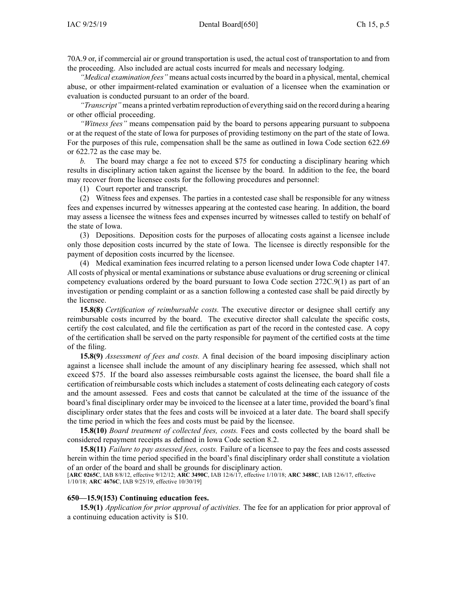[70A.9](https://www.legis.iowa.gov/docs/ico/section/70A.9.pdf) or, if commercial air or ground transportation is used, the actual cost of transportation to and from the proceeding. Also included are actual costs incurred for meals and necessary lodging.

*"Medical examination fees"* means actual costsincurred by the board in <sup>a</sup> physical, mental, chemical abuse, or other impairment-related examination or evaluation of <sup>a</sup> licensee when the examination or evaluation is conducted pursuan<sup>t</sup> to an order of the board.

*"Transcript"* means <sup>a</sup> printed verbatim reproduction of everything said on the record during <sup>a</sup> hearing or other official proceeding.

*"Witness fees"* means compensation paid by the board to persons appearing pursuan<sup>t</sup> to subpoena or at the reques<sup>t</sup> of the state of Iowa for purposes of providing testimony on the par<sup>t</sup> of the state of Iowa. For the purposes of this rule, compensation shall be the same as outlined in Iowa Code section [622.69](https://www.legis.iowa.gov/docs/ico/section/622.69.pdf) or [622.72](https://www.legis.iowa.gov/docs/ico/section/622.72.pdf) as the case may be.

*b.* The board may charge <sup>a</sup> fee not to exceed \$75 for conducting <sup>a</sup> disciplinary hearing which results in disciplinary action taken against the licensee by the board. In addition to the fee, the board may recover from the licensee costs for the following procedures and personnel:

(1) Court reporter and transcript.

(2) Witness fees and expenses. The parties in <sup>a</sup> contested case shall be responsible for any witness fees and expenses incurred by witnesses appearing at the contested case hearing. In addition, the board may assess <sup>a</sup> licensee the witness fees and expenses incurred by witnesses called to testify on behalf of the state of Iowa.

(3) Depositions. Deposition costs for the purposes of allocating costs against <sup>a</sup> licensee include only those deposition costs incurred by the state of Iowa. The licensee is directly responsible for the paymen<sup>t</sup> of deposition costs incurred by the licensee.

(4) Medical examination fees incurred relating to <sup>a</sup> person licensed under Iowa Code chapter [147](https://www.legis.iowa.gov/docs/ico/chapter/147.pdf). All costs of physical or mental examinations or substance abuse evaluations or drug screening or clinical competency evaluations ordered by the board pursuan<sup>t</sup> to Iowa Code section [272C.9\(1\)](https://www.legis.iowa.gov/docs/ico/section/2017/272C.9.pdf) as par<sup>t</sup> of an investigation or pending complaint or as <sup>a</sup> sanction following <sup>a</sup> contested case shall be paid directly by the licensee.

**15.8(8)** *Certification of reimbursable costs.* The executive director or designee shall certify any reimbursable costs incurred by the board. The executive director shall calculate the specific costs, certify the cost calculated, and file the certification as par<sup>t</sup> of the record in the contested case. A copy of the certification shall be served on the party responsible for paymen<sup>t</sup> of the certified costs at the time of the filing.

**15.8(9)** *Assessment of fees and costs.* A final decision of the board imposing disciplinary action against <sup>a</sup> licensee shall include the amount of any disciplinary hearing fee assessed, which shall not exceed \$75. If the board also assesses reimbursable costs against the licensee, the board shall file <sup>a</sup> certification of reimbursable costs which includes <sup>a</sup> statement of costs delineating each category of costs and the amount assessed. Fees and costs that cannot be calculated at the time of the issuance of the board's final disciplinary order may be invoiced to the licensee at <sup>a</sup> later time, provided the board's final disciplinary order states that the fees and costs will be invoiced at <sup>a</sup> later date. The board shall specify the time period in which the fees and costs must be paid by the licensee.

**15.8(10)** *Board treatment of collected fees, costs.* Fees and costs collected by the board shall be considered repaymen<sup>t</sup> receipts as defined in Iowa Code section [8.2](https://www.legis.iowa.gov/docs/ico/section/2017/8.2.pdf).

**15.8(11)** *Failure to pay assessed fees, costs.* Failure of <sup>a</sup> licensee to pay the fees and costs assessed herein within the time period specified in the board's final disciplinary order shall constitute <sup>a</sup> violation of an order of the board and shall be grounds for disciplinary action.

[**ARC [0265C](https://www.legis.iowa.gov/docs/aco/arc/0265C.pdf)**, IAB 8/8/12, effective 9/12/12; **ARC [3490C](https://www.legis.iowa.gov/docs/aco/arc/3490C.pdf)**, IAB 12/6/17, effective 1/10/18; **ARC [3488C](https://www.legis.iowa.gov/docs/aco/arc/3488C.pdf)**, IAB 12/6/17, effective 1/10/18; **ARC [4676C](https://www.legis.iowa.gov/docs/aco/arc/4676C.pdf)**, IAB 9/25/19, effective 10/30/19]

## **650—15.9(153) Continuing education fees.**

**15.9(1)** *Application for prior approval of activities.* The fee for an application for prior approval of <sup>a</sup> continuing education activity is \$10.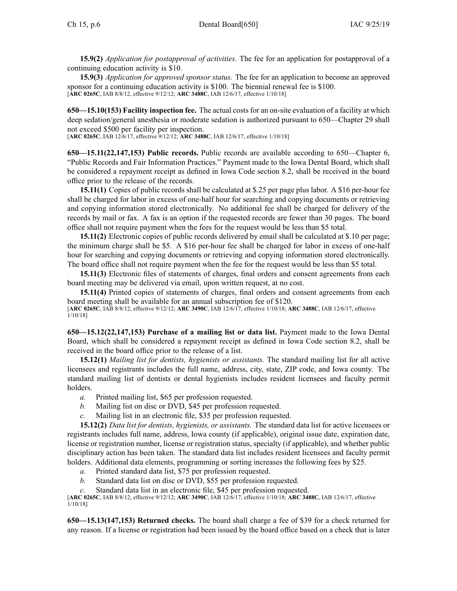**15.9(2)** *Application for postapproval of activities.* The fee for an application for postapproval of <sup>a</sup> continuing education activity is \$10.

**15.9(3)** *Application for approved sponsor status.* The fee for an application to become an approved sponsor for <sup>a</sup> continuing education activity is \$100. The biennial renewal fee is \$100. [**ARC [0265C](https://www.legis.iowa.gov/docs/aco/arc/0265C.pdf)**, IAB 8/8/12, effective 9/12/12; **ARC [3488C](https://www.legis.iowa.gov/docs/aco/arc/3488C.pdf)**, IAB 12/6/17, effective 1/10/18]

**650—15.10(153) Facility inspection fee.** The actual costs for an on-site evaluation of <sup>a</sup> facility at which deep sedation/general anesthesia or moderate sedation is authorized pursuan<sup>t</sup> to [650—Chapter](https://www.legis.iowa.gov/docs/iac/chapter/650.29.pdf) 29 shall not exceed \$500 per facility per inspection.

[**ARC [0265C](https://www.legis.iowa.gov/docs/aco/arc/0265C.pdf)**, IAB 12/6/17, effective 9/12/12; **ARC [3488C](https://www.legis.iowa.gov/docs/aco/arc/3488C.pdf)**, IAB 12/6/17, effective 1/10/18]

**650—15.11(22,147,153) Public records.** Public records are available according to [650—Chapter](https://www.legis.iowa.gov/docs/iac/chapter/650.6.pdf) 6, "Public Records and Fair Information Practices." Payment made to the Iowa Dental Board, which shall be considered <sup>a</sup> repaymen<sup>t</sup> receipt as defined in Iowa Code section [8.2](https://www.legis.iowa.gov/docs/ico/section/8.2.pdf), shall be received in the board office prior to the release of the records.

**15.11(1)** Copies of public records shall be calculated at \$.25 per page plus labor. A \$16 per-hour fee shall be charged for labor in excess of one-half hour for searching and copying documents or retrieving and copying information stored electronically. No additional fee shall be charged for delivery of the records by mail or fax. A fax is an option if the requested records are fewer than 30 pages. The board office shall not require paymen<sup>t</sup> when the fees for the reques<sup>t</sup> would be less than \$5 total.

**15.11(2)** Electronic copies of public records delivered by email shall be calculated at \$.10 per page; the minimum charge shall be \$5. A \$16 per-hour fee shall be charged for labor in excess of one-half hour for searching and copying documents or retrieving and copying information stored electronically. The board office shall not require paymen<sup>t</sup> when the fee for the reques<sup>t</sup> would be less than \$5 total.

**15.11(3)** Electronic files of statements of charges, final orders and consent agreements from each board meeting may be delivered via email, upon written request, at no cost.

**15.11(4)** Printed copies of statements of charges, final orders and consent agreements from each board meeting shall be available for an annual subscription fee of \$120.

[**ARC [0265C](https://www.legis.iowa.gov/docs/aco/arc/0265C.pdf)**, IAB 8/8/12, effective 9/12/12; **ARC [3490C](https://www.legis.iowa.gov/docs/aco/arc/3490C.pdf)**, IAB 12/6/17, effective 1/10/18; **ARC [3488C](https://www.legis.iowa.gov/docs/aco/arc/3488C.pdf)**, IAB 12/6/17, effective 1/10/18]

**650—15.12(22,147,153) Purchase of <sup>a</sup> mailing list or data list.** Payment made to the Iowa Dental Board, which shall be considered <sup>a</sup> repaymen<sup>t</sup> receipt as defined in Iowa Code section [8.2](https://www.legis.iowa.gov/docs/ico/section/8.2.pdf), shall be received in the board office prior to the release of <sup>a</sup> list.

**15.12(1)** *Mailing list for dentists, hygienists or assistants.* The standard mailing list for all active licensees and registrants includes the full name, address, city, state, ZIP code, and Iowa county. The standard mailing list of dentists or dental hygienists includes resident licensees and faculty permit holders.

- *a.* Printed mailing list, \$65 per profession requested.
- *b.* Mailing list on disc or DVD, \$45 per profession requested.
- *c.* Mailing list in an electronic file, \$35 per profession requested.

**15.12(2)** *Data list for dentists, hygienists, or assistants.* The standard data list for active licensees or registrants includes full name, address, Iowa county (if applicable), original issue date, expiration date, license or registration number, license or registration status, specialty (if applicable), and whether public disciplinary action has been taken. The standard data list includes resident licensees and faculty permit holders. Additional data elements, programming or sorting increases the following fees by \$25.

- *a.* Printed standard data list, \$75 per profession requested.
- *b.* Standard data list on disc or DVD, \$55 per profession requested.
- Standard data list in an electronic file, \$45 per profession requested.

[**ARC [0265C](https://www.legis.iowa.gov/docs/aco/arc/0265C.pdf)**, IAB 8/8/12, effective 9/12/12; **ARC [3490C](https://www.legis.iowa.gov/docs/aco/arc/3490C.pdf)**, IAB 12/6/17, effective 1/10/18; **ARC [3488C](https://www.legis.iowa.gov/docs/aco/arc/3488C.pdf)**, IAB 12/6/17, effective 1/10/18]

**650—15.13(147,153) Returned checks.** The board shall charge <sup>a</sup> fee of \$39 for <sup>a</sup> check returned for any reason. If <sup>a</sup> license or registration had been issued by the board office based on <sup>a</sup> check that is later